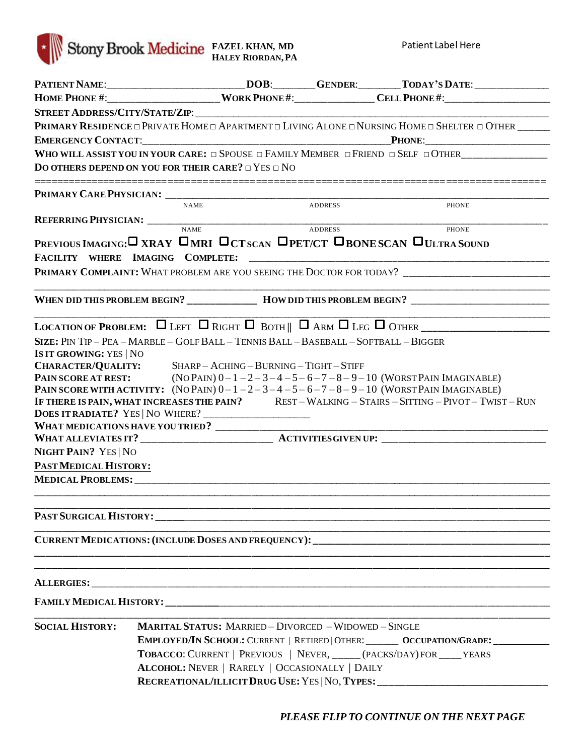

Patient Label Here

|                                                                                                                                                                                                                                    |             |                                                                                                                       |                | PATIENT NAME:__________________________DOB:________GENDER:_______TODAY'S DATE:______________________                                                                                                                                                                              |
|------------------------------------------------------------------------------------------------------------------------------------------------------------------------------------------------------------------------------------|-------------|-----------------------------------------------------------------------------------------------------------------------|----------------|-----------------------------------------------------------------------------------------------------------------------------------------------------------------------------------------------------------------------------------------------------------------------------------|
|                                                                                                                                                                                                                                    |             |                                                                                                                       |                | HOME PHONE #:________________________WORK PHONE #:_______________CELL PHONE #:______________________                                                                                                                                                                              |
|                                                                                                                                                                                                                                    |             |                                                                                                                       |                |                                                                                                                                                                                                                                                                                   |
|                                                                                                                                                                                                                                    |             |                                                                                                                       |                | PRIMARY RESIDENCE O PRIVATE HOME O APARTMENT O LIVING ALONE O NURSING HOME O SHELTER O OTHER $\_\_$                                                                                                                                                                               |
|                                                                                                                                                                                                                                    |             |                                                                                                                       |                |                                                                                                                                                                                                                                                                                   |
|                                                                                                                                                                                                                                    |             |                                                                                                                       |                | WHO WILL ASSIST YOU IN YOUR CARE: $\Box$ Spouse $\Box$ Family Member $\Box$ Friend $\Box$ Self $\Box$ Other                                                                                                                                                                       |
| DO OTHERS DEPEND ON YOU FOR THEIR CARE? $\Box$ YES $\Box$ NO                                                                                                                                                                       |             |                                                                                                                       |                |                                                                                                                                                                                                                                                                                   |
|                                                                                                                                                                                                                                    |             |                                                                                                                       |                |                                                                                                                                                                                                                                                                                   |
|                                                                                                                                                                                                                                    | <b>NAME</b> |                                                                                                                       | <b>ADDRESS</b> | PHONE                                                                                                                                                                                                                                                                             |
|                                                                                                                                                                                                                                    |             |                                                                                                                       |                |                                                                                                                                                                                                                                                                                   |
|                                                                                                                                                                                                                                    |             |                                                                                                                       |                | PHONE<br>PREVIOUS IMAGING: U XRAY UMRI UCT SCAN UPET/CT UBONE SCAN ULLTRA SOUND                                                                                                                                                                                                   |
|                                                                                                                                                                                                                                    |             |                                                                                                                       |                | PRIMARY COMPLAINT: WHAT PROBLEM ARE YOU SEEING THE DOCTOR FOR TODAY?                                                                                                                                                                                                              |
|                                                                                                                                                                                                                                    |             |                                                                                                                       |                | WHEN DID THIS PROBLEM BEGIN? ___________ HOW DID THIS PROBLEM BEGIN? ___________________                                                                                                                                                                                          |
|                                                                                                                                                                                                                                    |             |                                                                                                                       |                | <u> 1980 - Johann Stoff, amerikansk politiker (d. 1980)</u>                                                                                                                                                                                                                       |
| SIZE: PIN TIP - PEA - MARBLE - GOLF BALL - TENNIS BALL - BASEBALL - SOFTBALL - BIGGER                                                                                                                                              |             |                                                                                                                       |                |                                                                                                                                                                                                                                                                                   |
| <b>IS IT GROWING: YES   NO</b><br>CHARACTER/QUALITY: SHARP-ACHING-BURNING-TIGHT-STIFF<br>DOES IT RADIATE? YES   NO WHERE? ____________________<br><b>NIGHT PAIN? YES   NO</b><br>PAST MEDICAL HISTORY:<br><b>MEDICAL PROBLEMS:</b> |             |                                                                                                                       |                | <b>PAIN SCORE AT REST:</b> (NO PAIN) $0-1-2-3-4-5-6-7-8-9-10$ (WORST PAIN IMAGINABLE)<br>PAIN SCORE WITH ACTIVITY: $(NOPAIN) 0-1-2-3-4-5-6-7-8-9-10 (WORSTPAIN IMAGINABLE)$<br>IF THERE IS PAIN, WHAT INCREASES THE PAIN? REST - WALKING - STAIRS - SITTING - PIVOT - TWIST - RUN |
|                                                                                                                                                                                                                                    |             |                                                                                                                       |                |                                                                                                                                                                                                                                                                                   |
|                                                                                                                                                                                                                                    |             |                                                                                                                       |                | CURRENT MEDICATIONS: (INCLUDE DOSES AND FREQUENCY): _____________________________                                                                                                                                                                                                 |
|                                                                                                                                                                                                                                    |             |                                                                                                                       |                |                                                                                                                                                                                                                                                                                   |
|                                                                                                                                                                                                                                    |             |                                                                                                                       |                |                                                                                                                                                                                                                                                                                   |
| <b>SOCIAL HISTORY:</b>                                                                                                                                                                                                             |             | <b>MARITAL STATUS: MARRIED - DIVORCED - WIDOWED - SINGLE</b><br><b>ALCOHOL: NEVER   RARELY   OCCASIONALLY   DAILY</b> |                | EMPLOYED/IN SCHOOL: CURRENT   RETIRED   OTHER: ________ OCCUPATION/GRADE: __________<br>TOBACCO: CURRENT   PREVIOUS   NEVER, _____ (PACKS/DAY) FOR ____ YEARS<br>RECREATIONAL/ILLICIT DRUG USE: YES   NO, TYPES: ________________________________                                 |